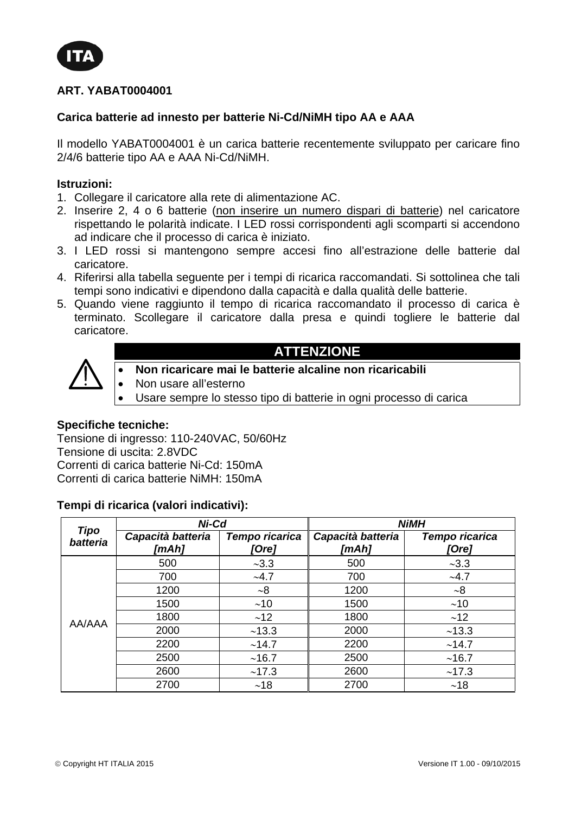

# **ART. YABAT0004001**

# **Carica batterie ad innesto per batterie Ni-Cd/NiMH tipo AA e AAA**

Il modello YABAT0004001 è un carica batterie recentemente sviluppato per caricare fino 2/4/6 batterie tipo AA e AAA Ni-Cd/NiMH.

# **Istruzioni:**

- 1. Collegare il caricatore alla rete di alimentazione AC.
- 2. Inserire 2, 4 o 6 batterie (non inserire un numero dispari di batterie) nel caricatore rispettando le polarità indicate. I LED rossi corrispondenti agli scomparti si accendono ad indicare che il processo di carica è iniziato.
- 3. I LED rossi si mantengono sempre accesi fino all'estrazione delle batterie dal caricatore.
- 4. Riferirsi alla tabella seguente per i tempi di ricarica raccomandati. Si sottolinea che tali tempi sono indicativi e dipendono dalla capacità e dalla qualità delle batterie.
- 5. Quando viene raggiunto il tempo di ricarica raccomandato il processo di carica è terminato. Scollegare il caricatore dalla presa e quindi togliere le batterie dal caricatore.



- **Non ricaricare mai le batterie alcaline non ricaricabili**
- Non usare all'esterno
- Usare sempre lo stesso tipo di batterie in ogni processo di carica

**ATTENZIONE** 

#### **Specifiche tecniche:**

Tensione di ingresso: 110-240VAC, 50/60Hz Tensione di uscita: 2.8VDC Correnti di carica batterie Ni-Cd: 150mA Correnti di carica batterie NiMH: 150mA

## **Tempi di ricarica (valori indicativi):**

| <b>Tipo</b><br>batteria | Ni-Cd                      |                         | <b>NiMH</b>                |                         |
|-------------------------|----------------------------|-------------------------|----------------------------|-------------------------|
|                         | Capacità batteria<br>[mAh] | Tempo ricarica<br>[Ore] | Capacità batteria<br>[mAh] | Tempo ricarica<br>[Ore] |
| AA/AAA                  | 500                        | ~23.3                   | 500                        | ~1.3                    |
|                         | 700                        | ~1.7                    | 700                        | ~1.7                    |
|                         | 1200                       | ~18                     | 1200                       | $~10^{-8}$              |
|                         | 1500                       | ~10                     | 1500                       | ~10                     |
|                         | 1800                       | ~12                     | 1800                       | ~12                     |
|                         | 2000                       | ~13.3                   | 2000                       | ~13.3                   |
|                         | 2200                       | ~14.7                   | 2200                       | ~14.7                   |
|                         | 2500                       | ~16.7                   | 2500                       | ~16.7                   |
|                         | 2600                       | ~17.3                   | 2600                       | ~17.3                   |
|                         | 2700                       | ~18                     | 2700                       | ~18                     |